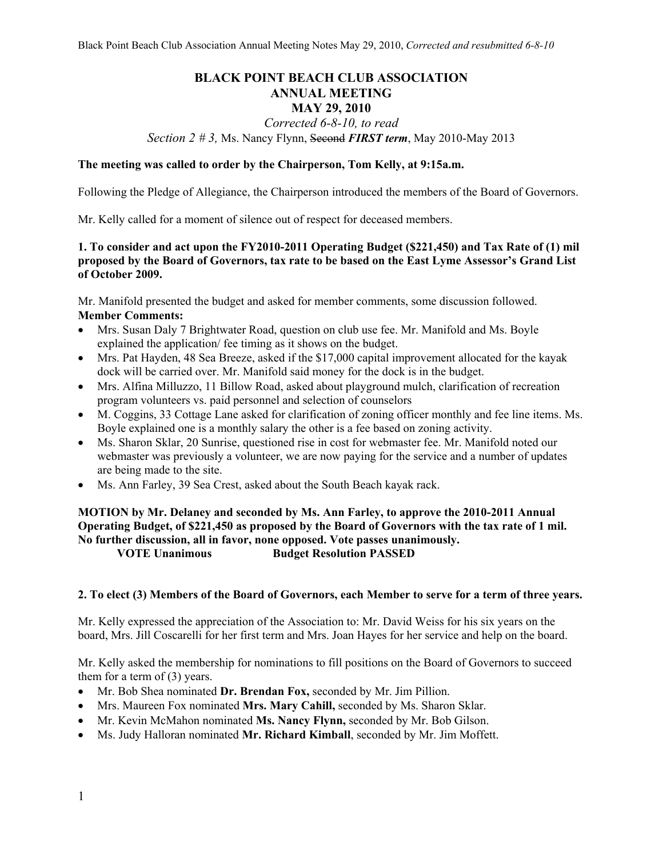# **BLACK POINT BEACH CLUB ASSOCIATION ANNUAL MEETING**

#### **MAY 29, 2010**  *Corrected 6-8-10, to read*

*Section 2 # 3,* Ms. Nancy Flynn, Second *FIRST term*, May 2010-May 2013

## **The meeting was called to order by the Chairperson, Tom Kelly, at 9:15a.m.**

Following the Pledge of Allegiance, the Chairperson introduced the members of the Board of Governors.

Mr. Kelly called for a moment of silence out of respect for deceased members.

## **1. To consider and act upon the FY2010-2011 Operating Budget (\$221,450) and Tax Rate of (1) mil proposed by the Board of Governors, tax rate to be based on the East Lyme Assessor's Grand List of October 2009.**

Mr. Manifold presented the budget and asked for member comments, some discussion followed. **Member Comments:** 

- Mrs. Susan Daly 7 Brightwater Road, question on club use fee. Mr. Manifold and Ms. Boyle explained the application/ fee timing as it shows on the budget.
- Mrs. Pat Hayden, 48 Sea Breeze, asked if the \$17,000 capital improvement allocated for the kayak dock will be carried over. Mr. Manifold said money for the dock is in the budget.
- Mrs. Alfina Milluzzo, 11 Billow Road, asked about playground mulch, clarification of recreation program volunteers vs. paid personnel and selection of counselors
- M. Coggins, 33 Cottage Lane asked for clarification of zoning officer monthly and fee line items. Ms. Boyle explained one is a monthly salary the other is a fee based on zoning activity.
- Ms. Sharon Sklar, 20 Sunrise, questioned rise in cost for webmaster fee. Mr. Manifold noted our webmaster was previously a volunteer, we are now paying for the service and a number of updates are being made to the site.
- Ms. Ann Farley, 39 Sea Crest, asked about the South Beach kayak rack.

## **MOTION by Mr. Delaney and seconded by Ms. Ann Farley, to approve the 2010-2011 Annual Operating Budget, of \$221,450 as proposed by the Board of Governors with the tax rate of 1 mil. No further discussion, all in favor, none opposed. Vote passes unanimously. VOTE Unanimous Budget Resolution PASSED**

#### **2. To elect (3) Members of the Board of Governors, each Member to serve for a term of three years.**

Mr. Kelly expressed the appreciation of the Association to: Mr. David Weiss for his six years on the board, Mrs. Jill Coscarelli for her first term and Mrs. Joan Hayes for her service and help on the board.

Mr. Kelly asked the membership for nominations to fill positions on the Board of Governors to succeed them for a term of (3) years.

- Mr. Bob Shea nominated **Dr. Brendan Fox,** seconded by Mr. Jim Pillion.
- Mrs. Maureen Fox nominated **Mrs. Mary Cahill,** seconded by Ms. Sharon Sklar.
- Mr. Kevin McMahon nominated **Ms. Nancy Flynn,** seconded by Mr. Bob Gilson.
- Ms. Judy Halloran nominated **Mr. Richard Kimball**, seconded by Mr. Jim Moffett.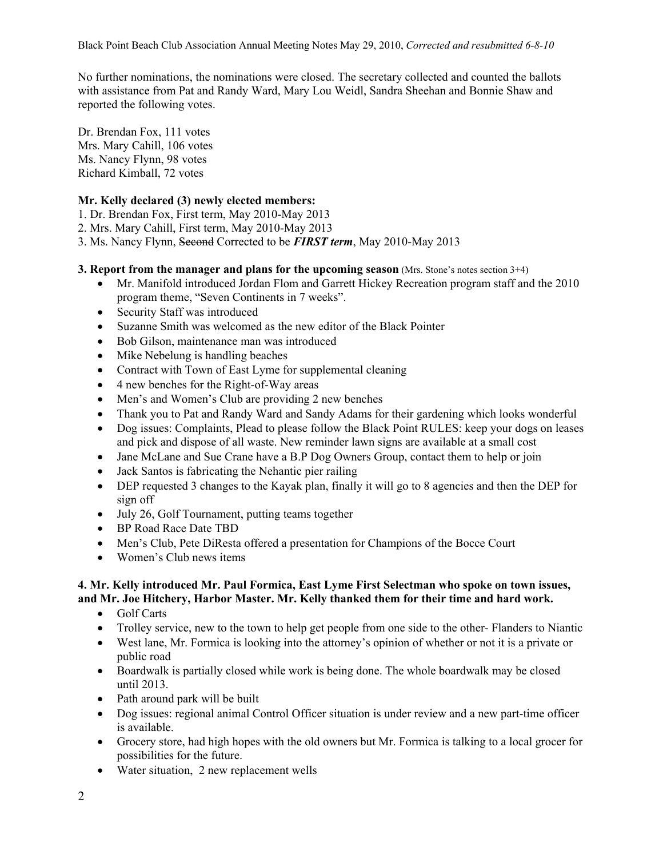No further nominations, the nominations were closed. The secretary collected and counted the ballots with assistance from Pat and Randy Ward, Mary Lou Weidl, Sandra Sheehan and Bonnie Shaw and reported the following votes.

Dr. Brendan Fox, 111 votes Mrs. Mary Cahill, 106 votes Ms. Nancy Flynn, 98 votes Richard Kimball, 72 votes

# **Mr. Kelly declared (3) newly elected members:**

- 1. Dr. Brendan Fox, First term, May 2010-May 2013
- 2. Mrs. Mary Cahill, First term, May 2010-May 2013
- 3. Ms. Nancy Flynn, Second Corrected to be *FIRST term*, May 2010-May 2013

## **3. Report from the manager and plans for the upcoming season** (Mrs. Stone's notes section 3+4)

- Mr. Manifold introduced Jordan Flom and Garrett Hickey Recreation program staff and the 2010 program theme, "Seven Continents in 7 weeks".
- Security Staff was introduced
- Suzanne Smith was welcomed as the new editor of the Black Pointer
- Bob Gilson, maintenance man was introduced
- Mike Nebelung is handling beaches
- Contract with Town of East Lyme for supplemental cleaning
- 4 new benches for the Right-of-Way areas
- Men's and Women's Club are providing 2 new benches
- Thank you to Pat and Randy Ward and Sandy Adams for their gardening which looks wonderful
- Dog issues: Complaints, Plead to please follow the Black Point RULES: keep your dogs on leases and pick and dispose of all waste. New reminder lawn signs are available at a small cost
- Jane McLane and Sue Crane have a B.P Dog Owners Group, contact them to help or join
- Jack Santos is fabricating the Nehantic pier railing
- DEP requested 3 changes to the Kayak plan, finally it will go to 8 agencies and then the DEP for sign off
- July 26, Golf Tournament, putting teams together
- BP Road Race Date TBD
- Men's Club, Pete DiResta offered a presentation for Champions of the Bocce Court
- Women's Club news items

#### **4. Mr. Kelly introduced Mr. Paul Formica, East Lyme First Selectman who spoke on town issues, and Mr. Joe Hitchery, Harbor Master. Mr. Kelly thanked them for their time and hard work.**

- Golf Carts
- Trolley service, new to the town to help get people from one side to the other-Flanders to Niantic
- West lane, Mr. Formica is looking into the attorney's opinion of whether or not it is a private or public road
- Boardwalk is partially closed while work is being done. The whole boardwalk may be closed until 2013.
- Path around park will be built
- Dog issues: regional animal Control Officer situation is under review and a new part-time officer is available.
- Grocery store, had high hopes with the old owners but Mr. Formica is talking to a local grocer for possibilities for the future.
- Water situation, 2 new replacement wells